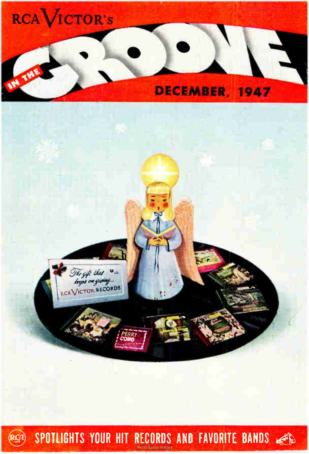



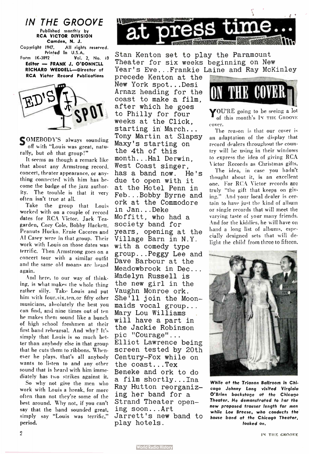



SOMEBODY'S always sounding off with "Louis was great, naturally, but oh that group!"

It seems as though a remark like that about any Armstrong record, concert, theater appearance, or anything connected with him has become the badge of the jazz authority. The trouble is that it very often isn't true at all.

Take the group that Louis worked with on a couple of record dates for RCA Victor, Jack Teagarden, Cozy Cole, Bobby Hackett, Peanuts Hucko, Ernie Caceres and AI Casey were in that group. Their work with Louis on those dates was terrific. Then Armstrong goes on a concert tour with a similar outfit and the same old moans are heard again.

And here, to our way of thinking, is what makes the whole thing rather silly. Take Louis and put him with four. six, ten, or fifty other musicians, absolutely the best you can find, and nine times out of ten he makes them sound like a bunch of high school freshmen at their first band rehearsal. And why? It's simply that louis is so much better than anybody else in that group that he cuts them to ribbons. Whenever he plays, that's all anybody wants to listen to and any other sound that is heard with him immediately has two strikes against it.

So why not give the men who work with Louis a break, for more often than not they're some of the best around. Why not, if you can't say that the band sounded great, simply say "Louis was terrific," period.



Stan Kenton set to play the Paramount Theater for six weeks beginning on New Year's Eve...Frankie Laine and Ray McKinley

precede Kenton at the New York spot...Desi Arnaz heading for the coast to make a film, after which he goes to Philly for four weeks at the Click, starting in March... Tony Martin at Slapsy Maxy's starting on the 4th of this month...Hal Derwin, West Coast singer, has a band now. He's due to open with it at the Hotel Penn in Feb...Bobby Byrne and ork at the Commodore in Jan...Deke Moffitt, who had a society band for years, opening at the Village Barn in N.Y. with a comedy type group...Peggy Lee and Dave Barbour at the Meadowbrook in Dec... Madelyn Russell is the new girl in the Vaughn Monroe ork. She'll join the Moonmaids vocal group... Mary Lou Williams will have a part in the Jackie Robinson pic "Courage"... Elliot Lawrence being screen tested by 20th Century-Fox while on the coast...Tex Beneke and ork to do a film shortly...Ina Ray Hutton reorganizing her band for a Strand Theater opening soon...Art Jarrett's new band to play hotels.



YOU'RE going to be seeing a lot of this month's IN THE GROOVE cover.

The reason is that our cover is an adaptation of the display that record dealers throughout the country will be using in their windows to express the idea of giving RCA Victor Records as Christmas gifts.

The idea, in case you hadn't thought about it, is an excellent one. For RCA Victor records are truly "the gift that keeps on giving." And your local dealer is certain to have just the kind of album or single records that will meet the varying taste of your many friends. And for the kiddies, he will have on band a long list of albums, especially designed sets that will delight the child from three to fifteen.



While at the Trianon Ballroom in Chicago Johnny Long visited Virginia O'Brien backstage at the Chicago Theater. He demonstrated to her the new proposed trouser length for men while Lou Breese, who conducts the house band at the Chicago Theater, looked on.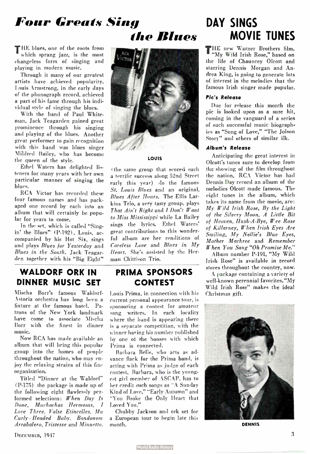# Four Greats Sing DAY SINGS

THE blues, one of the roots from which sprang jazz, is the most changeless form of singing and playing in modern music.

Through it many of our greatest artists have achieved popularity. Louis Armstrong, in the early days of the phonograph record, achieved a part of his fame through his individual style of singing the blues.

With the band of Paul Whiteman, Jack Teagarden gained great prominence through his singing and playing of the blues. Another great performer to gain recognition with this band was blues singer Mildred Bailey, who has become the queen of the style.

Ethel Waters has delighted listeners for many years with her own particular manner of singing the blues.

RCA Victor has recorded these four famous names and has packaged one record by each into an album that will certainly be popular for years to come.

In the set, which is called "Sing. in' the Blucs" (P-192), Louis, accompanied by his Hot Six, sings and plays Blues for Yesterday and Blues in the South. Jack Teagarden together with his "Big Eight"

#### WALDORF ORK IN DINNER MUSIC SET

Mischa Borr's famous Waldorf-Astoria orchestra has long been a fixture at the famous hotel. Patrons of the New York landmark have come to associate Mischa Borr with the finest in dinner music.

Now RCA has made available an album that will bring this popular group into the homes of people throughout the nation, who may enjoy the relaxing strains of this fine organization.

Titled "Dinner at the Waldorf" (P-175) the package is made up of the following eight flawlessly performed selections: When Day Is Done, Muchachas Hermosas, I Love Three, Valse Etincelles, Ma Curly - Headed Baby, Bandonem Arrabalero, Tristesse and Minuetto.



#### LOUIS

(the same group that scored such a terrific success along 52nd Street early this year) do the famous St. Louis Blues and an original, Blues After Hours. The Ellis Larkins Trio, a very tasty group, plays That Ain't Right and I Don't Want to Miss Mississippi while La Bailey sings the lyrics. Ethel Waters' great contributions to this wonderful album are her renditions of Careless Love and Blues in My Heart. She's assisted by the Herman Chittison Trio.

#### PRIMA SPONSORS CONTEST

Louis Prima, in connection with his current personal appearance tour, is sponsoring a contest for amateur song writers. In each locality where the band is appearing there is a separate competition, with the winner haring his number published by one ot the houses with which Prima is connected.

Barbara Belle, who acts as advance flack for the Prima band, is acting with Prima as judge of each contest. Barbara, who is the youngest girl member of ASCAP, has to her credit such songs as "A Sunday Kind of Love," "Early Autumn" and "You Broke the Only Heart that Loved You."

Chubby Jackson and ork set for a European tour to begin late this month.

# the Blues MOVIE TUNES

THE new Warner Brothers film, "My Wild Irish Rose," based on the life of Chauncey Olcott and starring Dennis Morgan and Andrea King, is going to generate lots of interest in the melodies that the famous Irish singer made popular.

#### Plc's Release

Due for release this month the pic is looked upon as a sure hit, coming in the vanguard of a series of such successful music biographies as "Song of Love," "The Jolson Story" and others of similar ilk.

#### Album's Release

Anticipating the great interest in Olcott's tunes sure to develop from the showing of the film throughout the nation, RCA Victor has had Dennis Day record an album of the melodies Olcott made famous. The eight tunes in the album, which takes its name from the movie, are: My Wild Irish Rose, By the Light of the Silvery Moon, A Little Bit of Heaven, Hush-A-Bye, Wee Rose of Killarney, When Irish Eyes Are Smiling, My Nellie's Blue Eyes, Mother Machree and Remember When You Sang "Oh Promise Me."

Album number P-19I, " My Wild Irish Rose" is available in record stores throughout the country, now.

A package containing a variety of well-known perennial favorites, "My Wild Irish Rose" makes the ideal Christmas gift.



DENNIS

DECEMBER, 1947 3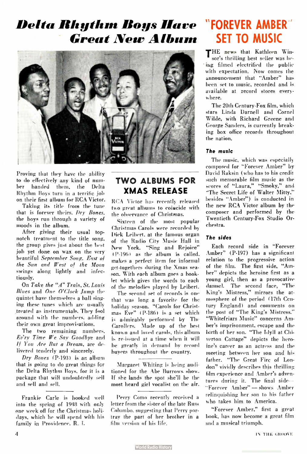### Delta Rhythm Boys Mare **Great New Album**



Proving that they have the ability to do effectively any kind of number handed them, the Delta Rhythm Boys turn in a terrific job on their first album for RCA Victor.

Taking its title from the tune that is forever theirs. Dry Bones, the boys run through a variety of moods in the album.

After giving their usual topnotch treatment to the title song, the group gives just about the best job yet done on wax on the very beautiful September Song. East of the Sun and West of the Moon swings along lightly and infectiously.

On Take the "A" Train, St. Louis Blues and One O'Cloek Jump the quintet have themselves a ball singing these tunes which are usually ,treated as instrumentals. They fool around with the numbers, adding their own great improvisations.

The two remaining numbers. Ev'ry Time We Say Goodbye and If You Are But a Dream, are delivered tenderly and sincerely.

Dry Bones (P-193) is an album that is going to do great things for the Delta Rhythm Boys, for it is a package that will undoubtedly sell and sell and sell.

Frankie Carle is booked well into the spring of 1948 with only one week off for the Christmas holidays, which he will spend with his family in Providence. R. I.

#### TWO ALBUMS FOR XMAS RELEASE

RCA Victor has recently released two great albums to coincide with the observance of Christmas.

Sixteen of the most popular Christmas Carols were recorded by Dick Leibert. at the famous organ of the Radio City Music Hall in New York. "Sing and Rejoice"  $(P-196)$  as the album is called, makes a perfect item for informal get-togethers during the Xmas season. With each album goes a booklet which gives the words to each of the melodies played by Leibert.

The second set of records is one that was long a favorite for the holiday season. "Carols for Christmas Eve" ( P-186) is a set which is admirably performed by The Carollers. Made up of the best known and loved carols, this album is reissued at a time when it will be greatly in demand by record buyers throughout the country.

Margaret Whiting is being auditioned for the Abe Burrows show. If she lands the spot she'll be the most heard girl vocalist on the air.

Perry Como recently received a letter from the sister of the late Russ Columbo, suggesting that Perry portray the part of her brother in a film version of his life.

### "FOREVER AMBER SET TO MUSIC

THE news that Kathleen Winsor's thrilling best seller was being filmed electrified the public with expectation. Now comes the announcement that "Amber" has been set to music, recorded and is available at record stores everyn here.

The 20th Century-Fox film, which stars Linda Darnell and Corne! Wilde, with Richard Greene and George Sanders, is currently breaking box office records throughout the nation.

#### The music

The music, which was especially composed for "Forever Amber" by David Raksin ( who has to his credit such memorable film music as the scores of "Laura," "Smoky," and "The Secret Life of Walter Mitty," besides "Amber") is conducted in the new RCA Victor album by the composer and performed by the Twentieth Century-Fox Studio Orchestra.

#### The sides

Each record side in "Forever Amber" ( P-197) has a significant relation to the progressive action of the film. The first side, "Amber" depicts the heroine first as a young girl, then as a provocative damsel. The second face, "The King's Mistress," mirrors the atmosphere of the period ( 17th Century England) and comments on the post of "The King's Mistress." "Whitefriars Music" concerns Amber's imprisonment, escape and the birth of her son. "The Idyll at Chiverton Cottage" depicts the heroine's career as an actress and the meeting between her son and his father. "The Great Fire of London" vividly describes this thrilling film experience and Amber's adventures during it. The final side-- "Forever Amber" — shows Amber relinquishing her son to his father who takes him to America.

"Forever Amber," first a great book, has now become a great film and a musical triumph.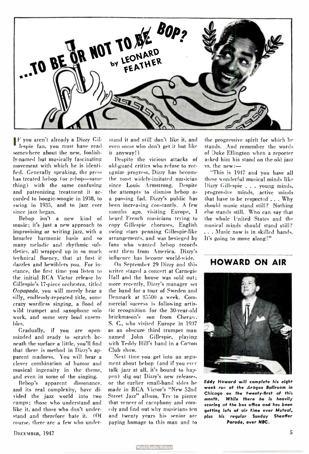

F you aren't already a Dizzy Gil lespie fan, you must have read somewhere about the new, foolishly- named but musically fascinating movement with which he is identified. Generally speaking, the press has treated bebop (or rebop-same thing) with the same confusing and patronizing treatment it accorded to boogie-woogie in 1938, to swing in 1935, and to jazz ever since jazz began.

Bebop isn't a new kind of music; it's just a new approach to improvising or writing jazz, with a broader harmonic basis and so many melodic and rhythmic subtleties, all wrapped up in so much technical fluency, that at first it dazzles and bewilders you. For instance, the first time you listen to the initial RCA Victor release by Gillespie's 17-piece orchestra, titled Oopapada, you will merely hear a silly, endlessly-repeated title, some crazy wordless singing, a flood of wild trumpet and saxophone solo work, and some very loud ensembles.

Gradually, if you are openminded and ready to scratch beneath the surface a little, you'll find that there is method in Dizzy's apparent madness. You will hear a clever combination of humor and musical ingenuity in the theme, and even in some of the singing.

Bebop's apparent dissonance, and its real complexity, have divided the jazz world into two camps; those who understand and like it, and those who don't understand and therefore hate it. ( Of course, there are a few who understand it and still don't like it, and even some who don't get it but like it anyway!)

Despite the vicious attacks of old- guard critics who refuse to recognize progress, Dizzy has become the most widely- imitated musician since Louis Armstrong. Despite the attempts to dismiss bebop as a passing fad, Dizzy's public has been increasing constantly. A few months ago, visiting Europe, I heard French musicians trying to copy Gillespie choruses, English swing stars penning Gillespie-like arrangements, and was besieged by fans who wanted bebop records sent them from America. Dizzy's influence has become world-wide.

On September 29 Dizzy and this writer staged a concert at Carnegie Flail and the house was sold out; more recently, Dizzy's manager set the band for a tour of Sweden and Denmark at \$5500 a week. Commercial success is following artistic recognition for the 30-year-old brickmason's son from Cheraw. S. C., who visited Europe in 1937 as an obscure third trumpet man named John Gillespie, playing with Teddy Hill's band in a Cotton Club show.

Next time you get into an argument about bebop (and if you ever talk jazz at all, it's bound to happen) dig out Dizzy's new releases, or the earlier small-band sides he made in RCA Victor's " New 52ml Street Jazz" album. Try to pierce that veneer of cacophony and comedy and find out why musicians ten and twenty years his senior are paying homage to this man and to

the progressive spirit for which he stands. And remember the words of Duke Ellington when a reporter asked him his stand on the old jazz vs. the new:—

"This is 1947 and you have all these wonderful musical minds like Dizzy Gillespie . . . young minds, progressive minds, active minds that have to be respected .. . Why should music stand still? Nothing else stands still. Who can say that the whole United States and the musical minds should stand still? ... Music now is in skilled hands. It's going to move along!"

HOWARD ON AIR

Eddy Howard will complete his eight week run at the Aragon Ballroom in Chicago on the twenty-first of thi; month. While there he is heavily scoring at the box office and has been getting lots of air time over Mutual. plus his regular Sunday Sheaffer Parade, over NBC.

DECEMBER, 1947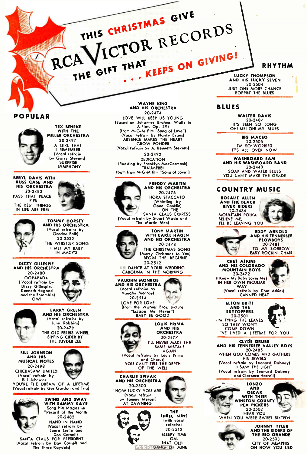## THIS CHRISTMAS GIVE RCA VICTOR RECORDS KEEPS ON GIVING! THE GIFT THAT

#### **RHYTHM**

LUCKY THOMPSON<br>AND HIS LUCKY SEVEN 20-2504<br>JUST ONE MORE CHANCE **BOPPIN' THE BLUES** 

#### **BLUES**

**WALTER DAVIS** 20-2487<br>IT'S BEEN SO LONG OHI MEI OHI MYI BLUES

**RIG MACFO** 20-2505<br>I'M SO' WORRIED IT'S ALL OVER NOW

#### WASHBOARD SAM<br>AND HIS WASHBOARD BAND 20-2440 SOAP AND WATER BLUES

YOU CAN'T MAKE THE GRADE

#### **COUNTRY MUSIC**



**POPULAR** 



WITH THE MILLER ORCHESTRA 20-2497 **GIRL THAT I REMEMBER** (Vacal refrain by Garry Stevens) SYMPHONY

**TEX BENEKE** 

BERYL DAVIS WITH<br>RUSS CASE AND HIS ORCHESTRA 20-2483 PASS THAT PEACE THE BEST THINGS IN LIFE ARE FREE



**TOMMY DORSEY**<br>AND HIS ORCHESTRA (Vocal refrains by Gordon Polk) 20-2522 THE WHISTLER SONG I MET MY BABY IN MACY'S

DIZZY GILLESPIE<br>AND HIS ORCHESTRA 20-2480 **OOPAPADA** (Vocal refrain by Dizzy Gillespie, Kenneth Hagood and the Ensemble)  $0Wl$ 



LARRY GREEN<br>AND HIS ORCHESTRA (Vacal refrains by June Robbins) 20-2479 THE OLD FERRIS WHEEL SIPPING CIDER BY THE ZUYDER ZEE

**BILL JOHNSON** AND HIS<br>MUSICAL NOTES 20-2498 CHICKASAW LIMITED (Vocal refrain by **Bill Jahnsan** 

YOU'RE THE DREAM OF A LIFETIME (Vacal refrain by Gus Gordon and Tria)



Record of the Month 20-2482 **HAND IN HAND** (Vocal refrain by Laura Leslie and Don Cornell)

(Vacol refrain by Don Cornell and<br>The Three Kaydets)

AND HIS ORCHESTRA  $20.2474$ LOVE WILL KEEP US YOUNG (Based on Johannes Brahms' Waltz in A-Flat, Op. 39)<br>A-Flat, Op. 39)<br>(fram M-G-M film "Song of Love") (Vocal refrain by Nancy Evans)<br>ABSENCE MAKES THE HEART **GROW FONDER** (Vocal refrain by A. Kenneth Stevens) 20-2492 DEDICATION (Reading by Franklyn MacCormack) (bath fram M-G-M film "Song of Love")

**WAYNE KING** 

**FREDDY MARTIN**<br>AND HIS ORCHESTRA HORA STACCATO ON THE (Vocal refrain by Stuart Wade and



TONY MARTIN<br>WITH EARLE HAGEN<br>AND HIS ORCHESTRA 20-2478 THE CHRISTMAS SONG Merry Christmas to You)<br>BEGIN THE BEGUINE  $20.2512$ 

20-2476

(Whistling by

Gene Conklin)

I'LL DANCE AT YOUR WEDDING CAROLINA IN THE MORNING





OF THE WELL





orld Ra GANGO OF MINE

THREE SUNS 20-2513 SLEEPY TIME GAL<br>THAT OLD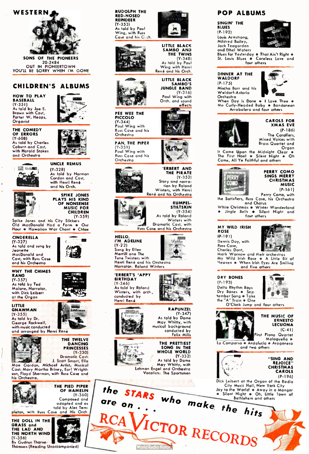

OUT IN PIONERTOWN OUT IN PIONEERTOWN YOU'LL BE SORRY WHEN I'M GONE

#### CHILDREN'S ALBUMS

HOW TO PLAY BASEBALL (Y -35I) As told by Jae E.<br>Brawn with Cast, Parter W. Heaps, Organist

THE COMEDY



OF ERRORS (Y-608) As told by Charles Coburn and Cast, with Harold Stokes and Orchestra

**USE CAMER** 

i.



(Y-328) As told by Norman Cordon and Cost, with Henri René and his Orch.

SPIKE JONES<br>PLAYS HIS KIND OF NONSENSE MUSIC FOR CHILDREN (Y-359)

Spike Jones and his City Slickers Old MacDonald Had a Farm • Our Hour • Hawaiian War Chant • Chloe

CINDERELLA<br>(Y-327) (Y-327) As told and sung by Jeanette MacDonald and Cost, with Russ Case and his Orchestra

WHY THE CHIMES RANG (Y-357) As told by Ted Malone, Narrator, with Dick Leibert at the Organ





(Y-355) As told by Dr. George Rockwell, with music conducted and arranged by Henri René



THE TWELVE DANCING PRINCESSES (Y-330) Dramatic Cast:<br>J. Scott Smart, Ella

J. Scott Smart, Ella Mae Gordon, Michael Artist; Musical Cast: Mary Martha Briney, Earl Wright-son, Floyd Sherman, with Russ Case and his Orchestra.





#### POP ALBUMS

SINGIN' THE **BLUES** (P-192) Louis Armstrong, Mildred Bailey, Jack Teagarden and Ethel Waters



Blues for Yesterday • That Ain't Right • St. Louis Blues • Careless Lore and four others

DINNER AT THE **WALDORF** (P-175) Mischa Borr and his Waldorf-Astoria Orchestra



When Day is Done • I Love Thee • Mo Curly- Headed Baby • Bandoneon Arrabalero and four others



CAROLS FOR XMAS EVE (P-186) The Carollers, Mixed Voices with Brass Quartet and Organ

It Came Upon the Midnight Clear •<br>The First Noel • Silent Night • Oh The First Noel • Silent Night • Come, All Ye Faithful and others



PERRY COMO SINGS MERRY **CHRISTMAS** MUSIC (P- I61)

Perry Como, with the Satisfiers, Russ Case, his Orchestra and Chorus

White Christmas • Winter Wonderland<br>• Jingle Bells • Silent Night and • Jingle Bells • Silent Night and four others

MY WILD IRISH ROSE (P-191) Dennis Day, with Russ Cose, Charles Dont,



Mark Warnow and their orchestras My Wild Irish Rose • A Little Bit of 'leaven • When Irish Eyes Are Smiling and five others

DRY BONES P-193) Delta Rhythm Boys Dry Bones • Sep. 'ember Song • Take the "A" Train • One



O'Clock Jump and four others



THE MUSIC OF ERNESTO LECUONA (C-41)

First Piano Quartet Ma'ague° • La Comparsa • Andalucia • Aragonesa

and two others

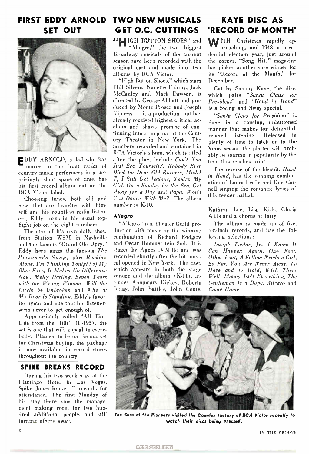## FIRST EDDY ARNOLD TWO NEW MUSICALS KAYE DISC AS



EDDY ARNOLD, a lad who has moved to the front ranks of country music performers in a surprisingly short space of time, has his first record album out on the RCA Victor label.

Choosing tunes, both old and new, that are favorites with himself and his countless radio listeners, Eddy turns in his usual topflight job on the eight numbers.

The star of his own daily show from Station WSM in Nashville and the famous "Grand Ole Opry." Eddy here sings the famous The Prisoner's Song, plus Rocking Alone,  $\Gamma r$  Thinking Tonight of  $M_y$ Blue Eyes, It Makes No Difference Aow, Molly Darling, Seven Years with the Wrong Woman, Will the Circle be Unbroken and Who at My Door Is Standing, Eddy's favorite hymn and one that his listener seem never to get enough of.

Appropriately called "All Time Hits from the Hills" ( P-195), the set is one that will appeal to every body. Planned to be on the market for Christmas buying, the package is now available in record stores throughout the country.

#### SPIKE BREAKS RECORD

During his two week stay at the Flamingo Hotel in Las Vegas, Spike Jones broke all records for attendance. The first Monday of his stay there saw the management making room for two hundred additional people, and still turning others away.

## SET OUT GET O.C. CUTTINGS 'RECORD OF MONTH'

"HIGH BUTTON SHOES" and "Allegro," the two biggest Broadway musicals of the current

season have been recorded with the original cast and made into two albums by RCA Victor.

"High Button Shoes," which stars Phil Silvers, Nanette Fabray, Jack McCauley and Mark Dawson, is directed by George Abbott and produced by Monte Proser and Joseph Kipness. It is a production that has already received highest critical acclaim and shows promise of continuing into a long run at the Century Theater in New York. The numbers recorded and contained in RCA Victor's album, which is titled after the play, include Can't You Just See Yourself?, Nobody Ever Died for Dear Old Rutgers, Model T, I Still Get Jealous, You're My Girl, On a Sunday by the Sea, Get Away for a Day and Papa, Won't Dance With Me? The album number is K-10.

#### Allegro

"Allegro" is a Theater Guild production with music by the winning combination of Richard Rodgers and Oscar Hammerstein 2nd. It is staged by Agnes DeMille and was recorded shortly after the hit musical opened in New York. The cast, which appears in both the stage version and the album (K-11), includes Annamary Dickey, Roberta Jonay. John Battles, John Conte,

WITH Christmas rapidly approaching, and 1948, a presidential election year, just around the corner, "Song Hits" magazine has picked another sure winner for its "Record of the Month," for December.

Cut by Sammy Kaye, the disc, which pairs "Santa Claus for President" and "Hand in Hand" is a Swing and Sway special.

"Santa Claus for President" is done in a rousing, unbuttoned manner that makes for delightful, relaxed listening. Released in plenty of time to latch on to the Xmas season the platter will probably be soaring in popularity by the time this reaches print.

The reverse of the biscuit, Hand in Hand, has the winning combination of Laura Leslie and Don Cornell singing the romantic lyrics of this tender ballad.

Kathryn Lee, Lisa Kirk, Gloria Wills and a chorus of forty.

The album is made up of five, ten- inch records, and has the following selections:

Joseph Taylor, Jr.. I Know It Can Happen Again, One Foot, Other Foot, A Fellow Needs a Girl, So Far, You Are Never Away, To Have and to Hold, Wish Them Well, Money Isn't Everything, The Gentleman Is a Dope. Allegro and Come Home.



The Sons of the Pioneers visited the Camden factory of RCA Victor recently to watch their discs being pressed.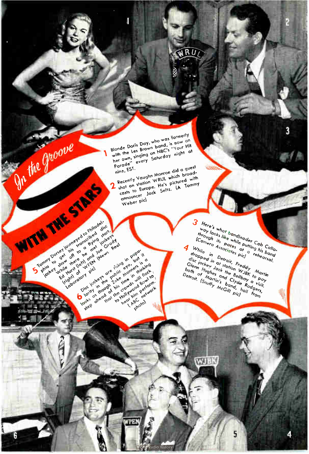### $RU$

Blonde Doris Day, who was formerly with the Les Brown band, is now on with the Les Brown band, is now on<br>her own, singing on NBC's "Your Hit<br>her own, singing on NBC's "Your Hit<br>Parade" every Recently Vaughn Monroe did a guest nine, EST. necently vaught montage and a guest<br>shot on station WRUL which broadshot on station track minds would casts to surope, the s pictures with  $\mathbf 2$ 

Weber pic) S Tommer por en le singula de l'argent de la constantiere de la constantiere de la constantiere de la constantiere de la constantiere de la constantiere de la constantiere de la constantiere de la constantiere de la consta

Discriments of the Holy the Reserved of the Principal Control of the Control of the Principal Control of the Principal Control of the Principal Control of the Principal Control of the Principal Control of the Principal Con

TIE

Disc Hotterts ore residents in Point

On the groove

WITH THE STAFF

3 Here's whot bondlegger Cab Collorneres whor ponaneo der von volument  $\frac{w_{Oy}}{h_{fO\cup gh}}$  in the while putting his backs of  $\frac{a_{fS}}{h_{fO\cap gh}}$  and  $\frac{a_{fS}^{fO\cap gh}}{h_{fO\cap gh}}$  and  $\frac{a_{fS}^{fO\cap gh}}{h_{fO\cap gh}}$  rehearsal. 4 While in Detroit, Freddy<br>Alternation at station Way Mortin<br>Alternation Way Morting aropped in at station wyby to pay Gisc lockey Jock the Bellboy<br>hnth n Hughes and Clyde Rodges, Usem riugnes and river roaders, bom or marinis burn, in the form of the company of the company of the pict

**WJBK** 

3

业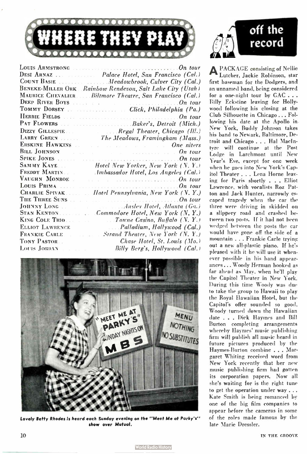

|                                              | Louis Armstrong (1990), the contract of the contract of $On$ tour                                                                                                                                                              |
|----------------------------------------------|--------------------------------------------------------------------------------------------------------------------------------------------------------------------------------------------------------------------------------|
|                                              | DESI ARNAZ   Palace Hotel, San Francisco (Cal.)                                                                                                                                                                                |
|                                              | COUNT BASIE Meadowbrook, Culver City (Cal.)                                                                                                                                                                                    |
|                                              | <b>BENEKE-MILLER ORK</b> Rainbow Rendevou, Salt Lake City (Utah)                                                                                                                                                               |
|                                              | MAURICE CHEVALIERBiltmore Theatre, San Francisco (Cal.)                                                                                                                                                                        |
|                                              | DEEP RIVER BOYS $\ldots$ , $\ldots$ and $\ldots$                                                                                                                                                                               |
|                                              |                                                                                                                                                                                                                                |
|                                              | On tour                                                                                                                                                                                                                        |
|                                              |                                                                                                                                                                                                                                |
|                                              | DIZZY GILLESPIE Regal Theater, Chicago (III.)                                                                                                                                                                                  |
|                                              | LARRY GREEN  The Meadows, Framingham (Mass.)                                                                                                                                                                                   |
|                                              | ERSKINE HAWKINS AND RESERVE THE CONTROL ON THE CONTROL ON THE CONTROL OF THE CONTROL OF THE CONTROL OF THE CONTROL OF THE CONTROL OF THE CONTROL OF THE CONTROL OF THE CONTROL OF THE CONTROL OF THE CONTROL OF THE CONTROL OF |
|                                              | BILL JOHNSON $\qquad \qquad \ldots \qquad \qquad \ldots \qquad \qquad \ldots \qquad On \; tour$                                                                                                                                |
|                                              |                                                                                                                                                                                                                                |
|                                              | SAMMY KAYE Hotel New Yorker, New York (N.Y.)                                                                                                                                                                                   |
|                                              |                                                                                                                                                                                                                                |
|                                              | VAUGHN MONROE . The second experimental contract $On\ tour$                                                                                                                                                                    |
|                                              | LOUIS PRIMA                                                                                                                                                                                                                    |
|                                              | CHARLIE SPIVAK  Hotel Pennsylvania, New York (N.Y.)                                                                                                                                                                            |
|                                              | THE THREE SUNS $\ldots$ and $\ldots$ are $\ldots$ and $\ldots$                                                                                                                                                                 |
|                                              |                                                                                                                                                                                                                                |
|                                              | STAN KENTONCommodore Hotel, New York (N.Y.)                                                                                                                                                                                    |
|                                              |                                                                                                                                                                                                                                |
|                                              | ELLIOT LAWRENCE [2015] [2015] [2016] Palladium, Hollywood (Cal.)                                                                                                                                                               |
| and the second state<br><b>FRANKIE CARLE</b> | <b>Strand Theater, New York (N.Y.)</b>                                                                                                                                                                                         |
| TONY PASTOR                                  | Chase Hotel, St. Louis (Mo.)                                                                                                                                                                                                   |
| Louis Jordan (1990).                         | Billy Berg's, Hollywood (Cal.)                                                                                                                                                                                                 |
|                                              |                                                                                                                                                                                                                                |



Lovely Betty Rhodes is heard each Sunday evening on the " Meet Me at Party's" show over Mutual.



**A PACKAGE consisting of Nellie** Lutcher, Jackie Robinson, star first baseman for the Dodgers, and an unnamed band, being considered for a one-night tour by CAC . . . Billy Eckstine leaving for Hollywood following his closing at the Club Silhouette in Chicago... Following his date at the Apollo in New York, Buddy Johnson takes his band to Newark, Baltimore, Detroit and Chicago . . . Hal Niacintyre will continue at the Post Lodge in Larchmont until New Year's Eve, except for one week when he goes into New York's Capitol Theater . . . Lena Horne leaving for Paris shortly . . . Elliot Lawrence, with vocalists Roz Patton and Jack Hunter, narrowly escaped tragedy when the car the three were driving in skidded on a slippery road and crashed between two posts. If it had not been wedged between the posts the car would have gone off the side of a mountain . . . Frankie Carle trying out a new all-plastic piano. If he's pleased with it he will use it whenever possible in his band appearances ... Woody Herman booked as far ahead as May, when he'll play the Capitol Theater in New York. During this time Woody was due to take the group to Hawaii to play the Royal Hawaiian Hotel, but the Capitol's offer sounded so good, Woody turned down the Hawaiian date . . . Dick Haymes and Bill Burton completing arrangements whereby Haymes' music publishing firm will publish all music heard in future pictures produced by the Haymes-Burton combine . . . Margaret Whiting received word from New York recently that her new music publishing firm had gotten its corporation papers. Now all she's waiting for is the right tune to get the operation under way .. . Kate Smith is being romanced by one of the big film companies to appear before the cameras in some of the roles made famous by the late Marie Dressler.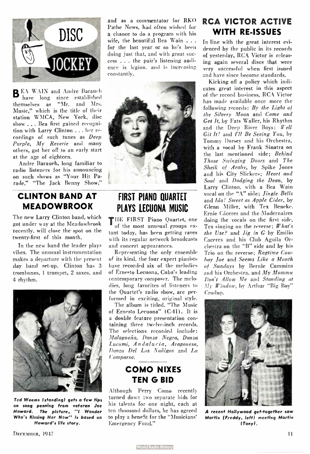

B EA WAIN and Andre Barauch have long since established themselves as "Mr. and Mrs. Music," which is the title of their station WMCA, New York, disc show .... Bea first gained recognition with Larry Clinton ... her recordings of such tunes as Deep Purple, My Reverie and many others, got her off to an early start at the age of eighteen.

Andre Barauch, long familiar to radio listeners for his announcing on such shows as "Your Hit Parade," "The Jack Benny Show,"

#### CLINTON BAND AT MEADOWBROOK

The new Larry Clinton band, which got under way at the Meadowbrook recently, will close the spot on the twenty-first of this month.

In the new band the leader plays vibes. The unusual instrumentation makes a departure with the present day band set-up. Clinton has 3 trombones, 1 trumpet, 2 saxes, and 4 rhythm.



Ted Weems (standing) gets a few tips on song penning from veteran Joe Howard. The picture, ''I Wonder Who's Kissing Her How" is based on Howard's life story.

and as a commentator for RKO Pathe News, had often wished for a chance to do a program with his wife, the beautiful Bea Wain . . . for the last year or so he's been doing just that, and with great success . . . the pair's listening audience is legion, and is increasing constantly.



### FIRST PIANO QUARTET PLAYS LECUONA MUSIC

THE FIRST Piano Quartet, one of the most unusual groups extant today, has been getting raves with its regular network broadcasts and concert appearances.

Representing the only ensemble of its kind, the four expert pianists have recorded six of the melodies of Ernesto Lecuona, Cuba's leading contemporary composer. The melodies, long favorites of listeners to the Quartet's radio show, are performed in exciting, original style.

The album is titled, "The Music of Ernesto Lecuona" (C-41). It is a double feature presentation containing three twelve-inch records. The selections recorded include: Malagueña, Danza Negra, Danza Lucumi, Andalucia, Aragonesa, Danza Del Los Nañigos and La Comparça,

### COMO NIXES TEN G BID

Although Perry Como recently turned down two separate bids for his talents for one night, each at ten thousand dollars, he has agreed to play a benefit for the " Musicians' Emergency Fund."

### RCA VICTOR ACTIVE WITH RE-ISSUES

In line with the great interest evidenced by the public in its records of yesterday, RCA Victor is releasing again several discs that were very successful when first issued and have since become standards.

Kicking off a policy which indicates great interest in this aspect of the record business, RCA Victor has made available once more the following records: By the Light of the Silvery Moon and Come and Get It, by Fats Waller, his Rhythm and the Deep River Boys; Well Git It! and I'll Be Seeing You, by Tommy Dorsey and his Orchestra, with a vocal by Frank Sinatra on the last mentioned side; Behind Those Swinging Doors and The Sheik of Araby, by Spike Jones and his City Slickers; Heart and Soul and Dodging the Dean, by Larry Clinton, with a Bea Wain vocal on the "A" side; Jingle Bells and Ida! Sweet as Apple Cider, by Glenn Miller, with Tex Beneke, Ernie Cáceres and the Modernaires doing the vocals on the first side, Tex singing on the reverse;  $What's$ the Use? and Jig in G by Emilio Caceres and his Club Aguila Orchestra on the "B" side and by his Trio on the reverse; Ragtime Cowboy Joe and Seems Like a Month of Sundays by Bernie Cummins and his Orchestra, and My Momma Don't Allow Me and Standing at Ïy Window, by Arthur "Big Boy" Crudup.



A recent Hollywood get-together saw Martin ( Freddy, left) meeting Martin (Tony).